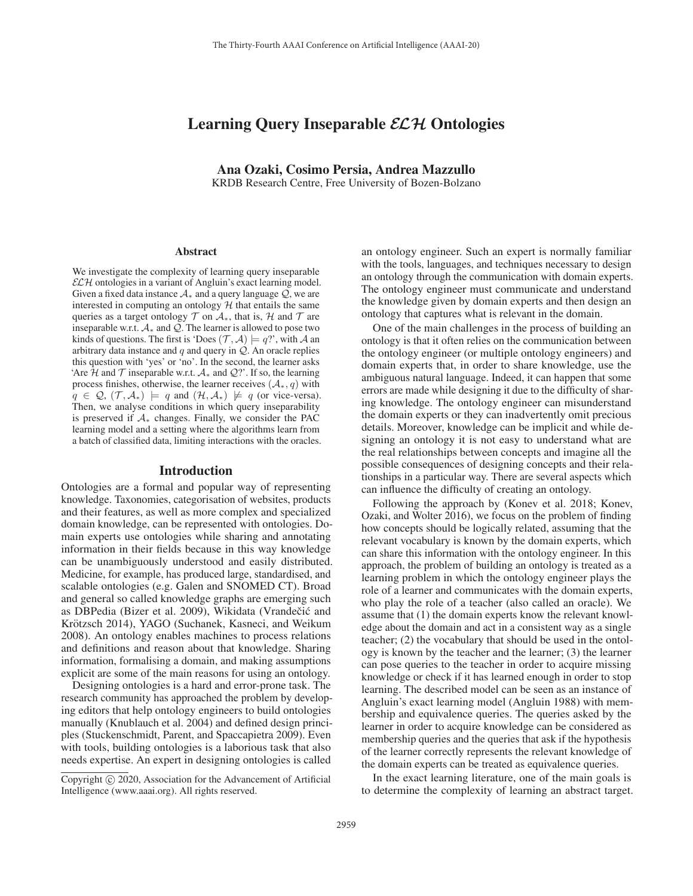# Learning Query Inseparable *ELH* Ontologies

Ana Ozaki, Cosimo Persia, Andrea Mazzullo KRDB Research Centre, Free University of Bozen-Bolzano

#### Abstract

We investigate the complexity of learning query inseparable  $\mathcal{ELH}$  ontologies in a variant of Angluin's exact learning model. Given a fixed data instance  $A_*$  and a query language  $Q$ , we are interested in computing an ontology  $H$  that entails the same queries as a target ontology  $T$  on  $A_*$ , that is,  $H$  and  $T$  are inseparable w.r.t.  $A_*$  and  $Q$ . The learner is allowed to pose two kinds of questions. The first is 'Does  $(\mathcal{T}, \mathcal{A}) \models q$ '', with A an arbitrary data instance and  $q$  and query in  $Q$ . An oracle replies this question with 'yes' or 'no'. In the second, the learner asks 'Are H and T inseparable w.r.t.  $A_*$  and  $Q$ ?'. If so, the learning process finishes, otherwise, the learner receives  $(A_*, q)$  with  $q \in \mathcal{Q}, (\mathcal{T}, \mathcal{A}_*) \models q$  and  $(\mathcal{H}, \mathcal{A}_*) \not\models q$  (or vice-versa). Then, we analyse conditions in which query inseparability is preserved if  $A_*$  changes. Finally, we consider the PAC learning model and a setting where the algorithms learn from a batch of classified data, limiting interactions with the oracles.

#### Introduction

Ontologies are a formal and popular way of representing knowledge. Taxonomies, categorisation of websites, products and their features, as well as more complex and specialized domain knowledge, can be represented with ontologies. Domain experts use ontologies while sharing and annotating information in their fields because in this way knowledge can be unambiguously understood and easily distributed. Medicine, for example, has produced large, standardised, and scalable ontologies (e.g. Galen and SNOMED CT). Broad and general so called knowledge graphs are emerging such as DBPedia (Bizer et al. 2009), Wikidata (Vrandečić and Krötzsch 2014), YAGO (Suchanek, Kasneci, and Weikum 2008). An ontology enables machines to process relations and definitions and reason about that knowledge. Sharing information, formalising a domain, and making assumptions explicit are some of the main reasons for using an ontology.

Designing ontologies is a hard and error-prone task. The research community has approached the problem by developing editors that help ontology engineers to build ontologies manually (Knublauch et al. 2004) and defined design principles (Stuckenschmidt, Parent, and Spaccapietra 2009). Even with tools, building ontologies is a laborious task that also needs expertise. An expert in designing ontologies is called

an ontology engineer. Such an expert is normally familiar with the tools, languages, and techniques necessary to design an ontology through the communication with domain experts. The ontology engineer must communicate and understand the knowledge given by domain experts and then design an ontology that captures what is relevant in the domain.

One of the main challenges in the process of building an ontology is that it often relies on the communication between the ontology engineer (or multiple ontology engineers) and domain experts that, in order to share knowledge, use the ambiguous natural language. Indeed, it can happen that some errors are made while designing it due to the difficulty of sharing knowledge. The ontology engineer can misunderstand the domain experts or they can inadvertently omit precious details. Moreover, knowledge can be implicit and while designing an ontology it is not easy to understand what are the real relationships between concepts and imagine all the possible consequences of designing concepts and their relationships in a particular way. There are several aspects which can influence the difficulty of creating an ontology.

Following the approach by (Konev et al. 2018; Konev, Ozaki, and Wolter 2016), we focus on the problem of finding how concepts should be logically related, assuming that the relevant vocabulary is known by the domain experts, which can share this information with the ontology engineer. In this approach, the problem of building an ontology is treated as a learning problem in which the ontology engineer plays the role of a learner and communicates with the domain experts, who play the role of a teacher (also called an oracle). We assume that (1) the domain experts know the relevant knowledge about the domain and act in a consistent way as a single teacher; (2) the vocabulary that should be used in the ontology is known by the teacher and the learner; (3) the learner can pose queries to the teacher in order to acquire missing knowledge or check if it has learned enough in order to stop learning. The described model can be seen as an instance of Angluin's exact learning model (Angluin 1988) with membership and equivalence queries. The queries asked by the learner in order to acquire knowledge can be considered as membership queries and the queries that ask if the hypothesis of the learner correctly represents the relevant knowledge of the domain experts can be treated as equivalence queries.

In the exact learning literature, one of the main goals is to determine the complexity of learning an abstract target.

Copyright (c) 2020, Association for the Advancement of Artificial Intelligence (www.aaai.org). All rights reserved.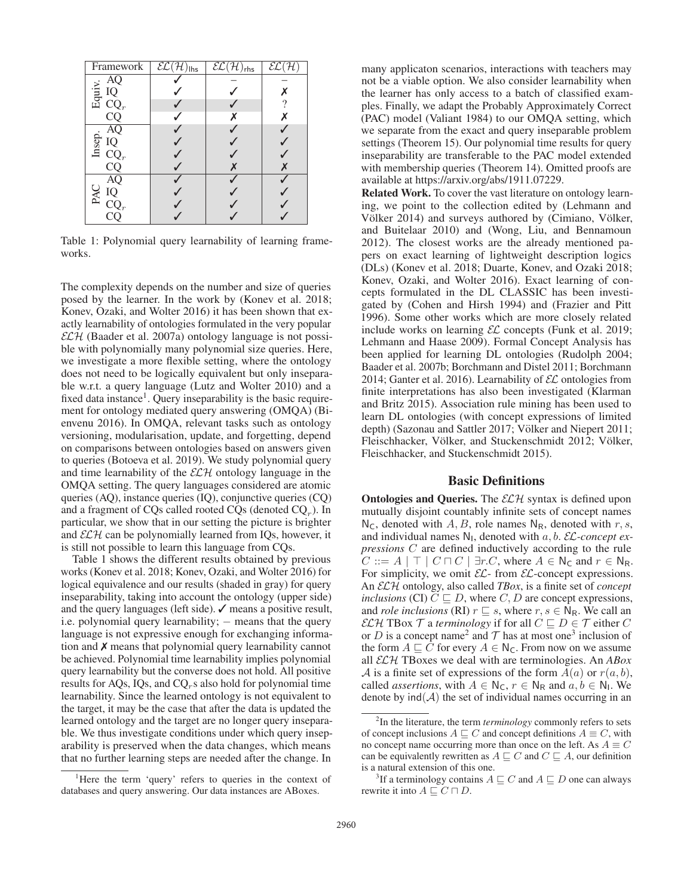| Framework                                                                                                                                                                                                                                          | $\overline{\mathcal{EL}(\mathcal{H})_{\mathsf{llhs}}}$ | $\overline{\mathcal{EL}}(\mathcal{H})_{\mathsf{rhs}}$ | $\overline{{\mathcal E}{\mathcal L}}$ |
|----------------------------------------------------------------------------------------------------------------------------------------------------------------------------------------------------------------------------------------------------|--------------------------------------------------------|-------------------------------------------------------|---------------------------------------|
|                                                                                                                                                                                                                                                    |                                                        |                                                       |                                       |
|                                                                                                                                                                                                                                                    |                                                        |                                                       | Х                                     |
|                                                                                                                                                                                                                                                    |                                                        |                                                       |                                       |
| $\begin{array}{c}\n\vdots & \overline{AQ} \\ \overline{B} & \overline{IQ} \\ \overline{CQ_r} & \overline{CQ}\n\end{array}$                                                                                                                         |                                                        |                                                       | Х                                     |
|                                                                                                                                                                                                                                                    |                                                        |                                                       |                                       |
|                                                                                                                                                                                                                                                    |                                                        |                                                       |                                       |
|                                                                                                                                                                                                                                                    |                                                        |                                                       |                                       |
| $\begin{array}{c}\n \stackrel{\rightharpoonup}{\text{B}} \stackrel{\rightharpoonup}{\text{IQ}} \\  \stackrel{\rightharpoonup}{\text{IQ}} \stackrel{\rightharpoonup}{\text{IQ}} \\  \stackrel{\rightharpoonup}{\text{CQ}} \\  \hline\n \end{array}$ |                                                        |                                                       |                                       |
|                                                                                                                                                                                                                                                    |                                                        |                                                       |                                       |
| PAC                                                                                                                                                                                                                                                |                                                        |                                                       |                                       |
| $\overline{AQ}$ $\overline{IQ}$ $\overline{CQ}_r$ $\overline{CQ}_r$                                                                                                                                                                                |                                                        |                                                       |                                       |
|                                                                                                                                                                                                                                                    |                                                        |                                                       |                                       |

Table 1: Polynomial query learnability of learning frameworks.

The complexity depends on the number and size of queries posed by the learner. In the work by (Konev et al. 2018; Konev, Ozaki, and Wolter 2016) it has been shown that exactly learnability of ontologies formulated in the very popular  $\mathcal{ELH}$  (Baader et al. 2007a) ontology language is not possible with polynomially many polynomial size queries. Here, we investigate a more flexible setting, where the ontology does not need to be logically equivalent but only inseparable w.r.t. a query language (Lutz and Wolter 2010) and a fixed data instance<sup>1</sup>. Query inseparability is the basic requirement for ontology mediated query answering (OMQA) (Bienvenu 2016). In OMQA, relevant tasks such as ontology versioning, modularisation, update, and forgetting, depend on comparisons between ontologies based on answers given to queries (Botoeva et al. 2019). We study polynomial query and time learnability of the  $\mathcal{ELH}$  ontology language in the OMQA setting. The query languages considered are atomic queries (AQ), instance queries (IQ), conjunctive queries (CQ) and a fragment of CQs called rooted CQs (denoted  $CQ<sub>r</sub>$ ). In particular, we show that in our setting the picture is brighter and  $\mathcal{ELH}$  can be polynomially learned from IQs, however, it is still not possible to learn this language from CQs.

Table 1 shows the different results obtained by previous works (Konev et al. 2018; Konev, Ozaki, and Wolter 2016) for logical equivalence and our results (shaded in gray) for query inseparability, taking into account the ontology (upper side) and the query languages (left side).  $\checkmark$  means a positive result, i.e. polynomial query learnability; – means that the query language is not expressive enough for exchanging information and  $\chi$  means that polynomial query learnability cannot be achieved. Polynomial time learnability implies polynomial query learnability but the converse does not hold. All positive results for AQs, IQs, and  $CQ_r$ s also hold for polynomial time learnability. Since the learned ontology is not equivalent to the target, it may be the case that after the data is updated the learned ontology and the target are no longer query inseparable. We thus investigate conditions under which query inseparability is preserved when the data changes, which means that no further learning steps are needed after the change. In

many applicaton scenarios, interactions with teachers may not be a viable option. We also consider learnability when the learner has only access to a batch of classified examples. Finally, we adapt the Probably Approximately Correct (PAC) model (Valiant 1984) to our OMQA setting, which we separate from the exact and query inseparable problem settings (Theorem 15). Our polynomial time results for query inseparability are transferable to the PAC model extended with membership queries (Theorem 14). Omitted proofs are available at https://arxiv.org/abs/1911.07229.

Related Work. To cover the vast literature on ontology learning, we point to the collection edited by (Lehmann and Völker 2014) and surveys authored by (Cimiano, Völker, and Buitelaar 2010) and (Wong, Liu, and Bennamoun 2012). The closest works are the already mentioned papers on exact learning of lightweight description logics (DLs) (Konev et al. 2018; Duarte, Konev, and Ozaki 2018; Konev, Ozaki, and Wolter 2016). Exact learning of concepts formulated in the DL CLASSIC has been investigated by (Cohen and Hirsh 1994) and (Frazier and Pitt 1996). Some other works which are more closely related include works on learning  $\mathcal{EL}$  concepts (Funk et al. 2019; Lehmann and Haase 2009). Formal Concept Analysis has been applied for learning DL ontologies (Rudolph 2004; Baader et al. 2007b; Borchmann and Distel 2011; Borchmann 2014; Ganter et al. 2016). Learnability of  $\mathcal{EL}$  ontologies from finite interpretations has also been investigated (Klarman and Britz 2015). Association rule mining has been used to learn DL ontologies (with concept expressions of limited depth) (Sazonau and Sattler 2017; Völker and Niepert 2011; Fleischhacker, Völker, and Stuckenschmidt 2012; Völker, Fleischhacker, and Stuckenschmidt 2015).

### Basic Definitions

**Ontologies and Queries.** The  $ECH$  syntax is defined upon mutually disjoint countably infinite sets of concept names  $N_c$ , denoted with A, B, role names  $N_R$ , denoted with r, s, and individual names  $N_1$ , denoted with a, b. *EL*-concept ex*pressions* C are defined inductively according to the rule  $C ::= A \mid \top \mid C \sqcap C \mid \exists r.C$ , where  $A \in \mathbb{N}_{\mathsf{C}}$  and  $r \in \mathbb{N}_{\mathsf{R}}$ . For simplicity, we omit  $\mathcal{EL}$ - from  $\mathcal{EL}$ -concept expressions. An ELH ontology, also called *TBox*, is a finite set of *concept inclusions* (CI)  $C \sqsubseteq D$ , where C, D are concept expressions, and *role inclusions* (RI)  $r \subseteq s$ , where  $r, s \in N_R$ . We call an  $\mathcal{ELH}$  TBox  $\mathcal T$  a *terminology* if for all  $C \sqsubseteq D \in \mathcal T$  either C or D is a concept name<sup>2</sup> and  $\mathcal T$  has at most one<sup>3</sup> inclusion of the form  $A \sqsubseteq C$  for every  $A \in N_{\mathsf{C}}$ . From now on we assume all ELH TBoxes we deal with are terminologies. An *ABox* A is a finite set of expressions of the form  $A(a)$  or  $r(a, b)$ , called *assertions*, with  $A \in N_c$ ,  $r \in N_R$  and  $a, b \in N_l$ . We denote by  $\text{ind}(\mathcal{A})$  the set of individual names occurring in an

<sup>&</sup>lt;sup>1</sup>Here the term 'query' refers to queries in the context of databases and query answering. Our data instances are ABoxes.

<sup>2</sup> In the literature, the term *terminology* commonly refers to sets of concept inclusions  $A \sqsubseteq C$  and concept definitions  $A \equiv C$ , with no concept name occurring more than once on the left. As  $A \equiv C$ can be equivalently rewritten as  $A \sqsubseteq C$  and  $C \sqsubseteq A$ , our definition is a natural extension of this one.

<sup>&</sup>lt;sup>3</sup>If a terminology contains  $A \sqsubseteq C$  and  $A \sqsubseteq D$  one can always rewrite it into  $A \sqsubseteq C \sqcap D$ .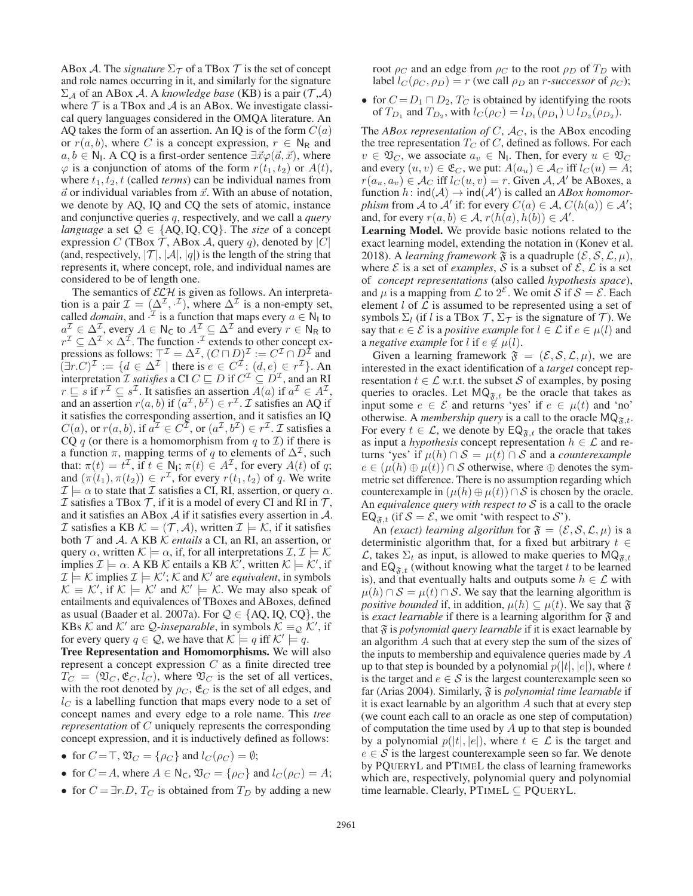ABox A. The *signature*  $\Sigma_{\mathcal{T}}$  of a TBox T is the set of concept and role names occurring in it, and similarly for the signature  $\Sigma_A$  of an ABox A. A *knowledge base* (KB) is a pair (T,A) where  $T$  is a TBox and  $A$  is an ABox. We investigate classical query languages considered in the OMQA literature. An AQ takes the form of an assertion. An IQ is of the form  $C(a)$ or  $r(a, b)$ , where C is a concept expression,  $r \in N_R$  and  $a, b \in \mathbb{N}_1$ . A CQ is a first-order sentence  $\exists \vec{x} \varphi(\vec{a}, \vec{x})$ , where  $\varphi$  is a conjunction of atoms of the form  $r(t_1, t_2)$  or  $A(t)$ , where  $t_1, t_2, t$  (called *terms*) can be individual names from  $\vec{a}$  or individual variables from  $\vec{x}$ . With an abuse of notation, we denote by AQ, IQ and CQ the sets of atomic, instance and conjunctive queries q, respectively, and we call a *query language* a set  $Q \in \{AQ, IQ, CQ\}$ . The *size* of a concept expression C (TBox T, ABox A, query q), denoted by  $|C|$ (and, respectively,  $|\mathcal{T}|$ ,  $|\mathcal{A}|$ ,  $|q|$ ) is the length of the string that represents it, where concept, role, and individual names are considered to be of length one.

The semantics of  $\mathcal{ELH}$  is given as follows. An interpretation is a pair  $\mathcal{I} = (\Delta^{\mathcal{I}}, \cdot^{\mathcal{I}})$ , where  $\Delta^{\mathcal{I}}$  is a non-empty set, called *domain*, and  $\cdot^{\mathcal{I}}$  is a function that maps every  $a \in \mathbb{N}_1$  to  $a^{\mathcal{I}} \in \Delta^{\mathcal{I}}$ , every  $A \in \mathsf{N}_{\mathsf{C}}$  to  $A^{\mathcal{I}} \subseteq \Delta^{\mathcal{I}}$  and every  $r \in \mathsf{N}_{\mathsf{R}}$  to  $r^{\mathcal{I}} \subseteq \Delta^{\mathcal{I}} \times \Delta^{\mathcal{I}}$ . The function  $\cdot^{\mathcal{I}}$  extends to other concept expressions as follows:  $\top^{\mathcal{I}} = \Delta^{\mathcal{I}}$ ,  $(C \sqcap D)^{\mathcal{I}} := C^{\mathcal{I}} \cap D^{\mathcal{I}}$  and  $(\exists r.C)^{\mathcal{I}} := \{d \in \Delta^{\mathcal{I}} \mid \text{there is } e \in C^{\mathcal{I}} : (d,e) \in r^{\mathcal{I}}\}.$  An interpretation *I satisfies* a CI  $C \sqsubseteq D$  if  $C^{\mathcal{I}} \subseteq D^{\mathcal{I}}$ , and an RI  $r \sqsubseteq s$  if  $r^{\mathcal{I}} \subseteq s^{\mathcal{I}}$ . It satisfies an assertion  $A(a)$  if  $a^{\mathcal{I}} \in A^{\mathcal{I}}$ , and an assertion  $r(a, b)$  if  $(a^{\mathcal{I}}, b^{\mathcal{I}}) \in r^{\mathcal{I}}$ . *I* satisfies an AQ if it satisfies the corresponding assertion, and it satisfies an IQ  $C(a)$ , or  $r(a, b)$ , if  $a^{\mathcal{I}} \in C^{\mathcal{I}}$ , or  $(a^{\mathcal{I}}, b^{\mathcal{I}}) \in r^{\mathcal{I}}$ . *T* satisfies a CQ q (or there is a homomorphism from q to  $\mathcal I$ ) if there is a function  $\pi$ , mapping terms of q to elements of  $\Delta^{\mathcal{I}}$ , such that:  $\pi(t) = t^{\mathcal{I}}$ , if  $t \in N_1$ ;  $\pi(t) \in A^{\mathcal{I}}$ , for every  $A(t)$  of q; and  $(\pi(t_1), \pi(t_2)) \in r^{\mathcal{I}}$ , for every  $r(t_1, t_2)$  of q. We write  $\mathcal{I} \models \alpha$  to state that  $\mathcal I$  satisfies a CI, RI, assertion, or query  $\alpha$ .  $\mathcal I$  satisfies a TBox  $\mathcal T$ , if it is a model of every CI and RI in  $\mathcal T$ , and it satisfies an ABox A if it satisfies every assertion in A. I satisfies a KB  $\mathcal{K} = (\mathcal{T}, \mathcal{A})$ , written  $\mathcal{I} \models \mathcal{K}$ , if it satisfies both T and A. A KB K *entails* a CI, an RI, an assertion, or query  $\alpha$ , written  $\mathcal{K} \models \alpha$ , if, for all interpretations  $\mathcal{I}, \mathcal{I} \models \mathcal{K}$ implies  $\mathcal{I} \models \alpha$ . A KB  $\mathcal{K}$  entails a KB  $\mathcal{K}^{\dagger}$ , written  $\mathcal{K} \models \mathcal{K}^{\prime}$ , if  $\mathcal{I} \models \mathcal{K}$  implies  $\mathcal{I} \models \mathcal{K}'$ ;  $\mathcal{K}$  and  $\mathcal{K}'$  are *equivalent*, in symbols  $\mathcal{K} \equiv \mathcal{K}'$ , if  $\mathcal{K} \models \mathcal{K}'$  and  $\mathcal{K}' \models \mathcal{K}$ . We may also speak of entailments and equivalences of TBoxes and ABoxes, defined as usual (Baader et al. 2007a). For  $Q \in \{AQ, IQ, CQ\}$ , the KBs K and K' are *Q-inseparable*, in symbols  $K \equiv_{\mathcal{Q}} \mathcal{K}'$ , if for every query  $q \in \mathcal{Q}$ , we have that  $\mathcal{K} \models q$  iff  $\mathcal{K}' \models q$ .

Tree Representation and Homomorphisms. We will also represent a concept expression  $C$  as a finite directed tree  $T_C = (\mathfrak{V}_C, \mathfrak{E}_C, l_C)$ , where  $\mathfrak{V}_C$  is the set of all vertices, with the root denoted by  $\rho_C$ ,  $\mathfrak{E}_C$  is the set of all edges, and  $l<sub>C</sub>$  is a labelling function that maps every node to a set of concept names and every edge to a role name. This *tree representation* of C uniquely represents the corresponding concept expression, and it is inductively defined as follows:

- for  $C = \top$ ,  $\mathfrak{V}_C = \{\rho_C\}$  and  $l_C(\rho_C) = \emptyset$ ;
- for  $C = A$ , where  $A \in N_C$ ,  $\mathfrak{V}_C = \{\rho_C\}$  and  $l_C(\rho_C) = A$ ;
- for  $C = \exists r.D, T_C$  is obtained from  $T_D$  by adding a new

root  $\rho_C$  and an edge from  $\rho_C$  to the root  $\rho_D$  of  $T_D$  with label  $l_C(\rho_C, \rho_D) = r$  (we call  $\rho_D$  an *r*-successor of  $\rho_C$ );

• for  $C = D_1 \sqcap D_2$ ,  $T_C$  is obtained by identifying the roots of  $T_{D_1}$  and  $T_{D_2}$ , with  $l_C(\rho_C) = l_{D_1}(\rho_{D_1}) \cup l_{D_2}(\rho_{D_2})$ .

The *ABox representation of C*,  $A_C$ , is the ABox encoding the tree representation  $T_C$  of  $C$ , defined as follows. For each  $v \in \mathfrak{V}_C$ , we associate  $a_v \in \mathbb{N}_1$ . Then, for every  $u \in \mathfrak{V}_C$ and every  $(u, v) \in \mathfrak{E}_C$ , we put:  $A(a_u) \in \mathcal{A}_C$  iff  $l_C(u) = A$ ;  $r(a_u, a_v) \in \mathcal{A}_C$  iff  $l_C(u, v) = r$ . Given  $\mathcal{A}, \mathcal{A}'$  be ABoxes, a function  $h$ :  $\text{ind}(A) \rightarrow \text{ind}(A')$  is called an *ABox homomorphism* from *A* to  $\mathcal{A}'$  if: for every  $C(a) \in \mathcal{A}$ ,  $C(h(a)) \in \mathcal{A}'$ ; and, for every  $r(a, b) \in \mathcal{A}$ ,  $r(h(a), h(b)) \in \mathcal{A}'$ .

Learning Model. We provide basic notions related to the exact learning model, extending the notation in (Konev et al. 2018). A *learning framework*  $\mathfrak F$  is a quadruple  $(\mathcal E, \mathcal S, \mathcal L, \mu)$ , where  $\mathcal E$  is a set of *examples*,  $\mathcal S$  is a subset of  $\mathcal E$ ,  $\mathcal L$  is a set of *concept representations* (also called *hypothesis space*), and  $\mu$  is a mapping from  $\mathcal L$  to  $2^{\mathcal E}$ . We omit  $\mathcal S$  if  $\mathcal S = \mathcal E$ . Each element  $l$  of  $\mathcal L$  is assumed to be represented using a set of symbols  $\Sigma_l$  (if l is a TBox  $\mathcal{T}, \Sigma_{\mathcal{T}}$  is the signature of  $\mathcal{T}$ ). We say that  $e \in \mathcal{E}$  is a *positive example* for  $l \in \mathcal{L}$  if  $e \in \mu(l)$  and a *negative example* for l if  $e \notin \mu(l)$ .

Given a learning framework  $\mathfrak{F} = (\mathcal{E}, \mathcal{S}, \mathcal{L}, \mu)$ , we are interested in the exact identification of a *target* concept representation  $t \in \mathcal{L}$  w.r.t. the subset S of examples, by posing queries to oracles. Let  $MQ_{\mathfrak{F},t}$  be the oracle that takes as input some  $e \in \mathcal{E}$  and returns 'yes' if  $e \in \mu(t)$  and 'no' otherwise. A *membership query* is a call to the oracle  $MQ_{\tilde{x},t}$ . For every  $t \in \mathcal{L}$ , we denote by  $EQ_{\mathfrak{F},t}$  the oracle that takes as input a *hypothesis* concept representation  $h \in \mathcal{L}$  and returns 'yes' if  $\mu(h) \cap S = \mu(t) \cap S$  and a *counterexample*  $e \in (\mu(h) \oplus \mu(t)) \cap S$  otherwise, where  $\oplus$  denotes the symmetric set difference. There is no assumption regarding which counterexample in  $(\mu(h) \oplus \mu(t)) \cap S$  is chosen by the oracle. An *equivalence query with respect to* S is a call to the oracle  $EQ_{\tilde{x},t}$  (if  $S = \mathcal{E}$ , we omit 'with respect to  $\mathcal{S}'$ ).

An *(exact) learning algorithm* for  $\mathfrak{F} = (\mathcal{E}, \mathcal{S}, \mathcal{L}, \mu)$  is a deterministic algorithm that, for a fixed but arbitrary  $t \in$  $\mathcal{L}$ , takes  $\Sigma_t$  as input, is allowed to make queries to MQ<sub> $\mathfrak{F},t$ </sub> and  $EQ_{\tilde{x},t}$  (without knowing what the target t to be learned is), and that eventually halts and outputs some  $h \in \mathcal{L}$  with  $\mu(h) \cap S = \mu(t) \cap S$ . We say that the learning algorithm is *positive bounded* if, in addition,  $\mu(h) \subseteq \mu(t)$ . We say that  $\mathfrak{F}$ is *exact learnable* if there is a learning algorithm for  $\mathfrak{F}$  and that  $\mathfrak F$  is *polynomial query learnable* if it is exact learnable by an algorithm A such that at every step the sum of the sizes of the inputs to membership and equivalence queries made by A up to that step is bounded by a polynomial  $p(|t|, |e|)$ , where t is the target and  $e \in S$  is the largest counterexample seen so far (Arias 2004). Similarly, F is *polynomial time learnable* if it is exact learnable by an algorithm  $A$  such that at every step (we count each call to an oracle as one step of computation) of computation the time used by  $A$  up to that step is bounded by a polynomial  $p(|t|, |e|)$ , where  $t \in \mathcal{L}$  is the target and  $e \in S$  is the largest counterexample seen so far. We denote by PQUERYL and PTIMEL the class of learning frameworks which are, respectively, polynomial query and polynomial time learnable. Clearly, PTIMEL  $\subseteq$  PQUERYL.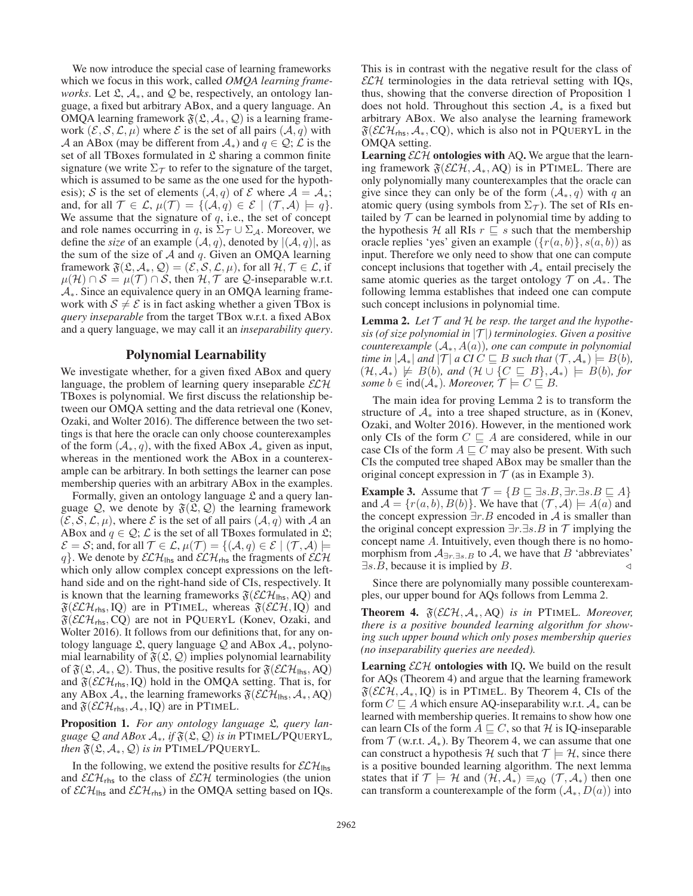We now introduce the special case of learning frameworks which we focus in this work, called *OMQA learning frameworks*. Let  $\mathfrak{L}, \mathcal{A}_*$ , and  $\mathcal Q$  be, respectively, an ontology language, a fixed but arbitrary ABox, and a query language. An OMQA learning framework  $\mathfrak{F}(\mathfrak{L}, \mathcal{A}_*, \mathcal{Q})$  is a learning framework  $(\mathcal{E}, \mathcal{S}, \mathcal{L}, \mu)$  where  $\mathcal E$  is the set of all pairs  $(\mathcal{A}, q)$  with A an ABox (may be different from  $A_*$ ) and  $q \in \mathcal{Q}$ ;  $\mathcal{L}$  is the set of all TBoxes formulated in  $\mathfrak L$  sharing a common finite signature (we write  $\Sigma_{\mathcal{T}}$  to refer to the signature of the target, which is assumed to be same as the one used for the hypothesis); S is the set of elements  $(A, q)$  of E where  $A = A_*$ ; and, for all  $\mathcal{T} \in \mathcal{L}$ ,  $\mu(\mathcal{T}) = \{(\mathcal{A}, q) \in \mathcal{E} \mid (\mathcal{T}, \mathcal{A}) \models q\}.$ We assume that the signature of  $q$ , i.e., the set of concept and role names occurring in q, is  $\Sigma_{\mathcal{T}} \cup \Sigma_{\mathcal{A}}$ . Moreover, we define the *size* of an example  $(A, q)$ , denoted by  $|(\mathcal{A}, q)|$ , as the sum of the size of  $A$  and  $q$ . Given an OMQA learning framework  $\mathfrak{F}(\mathfrak{L}, \mathcal{A}_*, \mathcal{Q})=(\mathcal{E}, \mathcal{S}, \mathcal{L}, \mu)$ , for all  $\mathcal{H}, \mathcal{T} \in \mathcal{L}$ , if  $\mu(\mathcal{H}) \cap \mathcal{S} = \mu(\mathcal{T}) \cap \mathcal{S}$ , then  $\mathcal{H}, \mathcal{T}$  are  $\mathcal{Q}$ -inseparable w.r.t. A∗. Since an equivalence query in an OMQA learning framework with  $S \neq \mathcal{E}$  is in fact asking whether a given TBox is *query inseparable* from the target TBox w.r.t. a fixed ABox and a query language, we may call it an *inseparability query*.

## Polynomial Learnability

We investigate whether, for a given fixed ABox and query language, the problem of learning query inseparable  $\mathcal{ELH}$ TBoxes is polynomial. We first discuss the relationship between our OMQA setting and the data retrieval one (Konev, Ozaki, and Wolter 2016). The difference between the two settings is that here the oracle can only choose counterexamples of the form  $(A_*, q)$ , with the fixed ABox  $A_*$  given as input, whereas in the mentioned work the ABox in a counterexample can be arbitrary. In both settings the learner can pose membership queries with an arbitrary ABox in the examples.

Formally, given an ontology language  $\mathfrak L$  and a query language  $\mathcal{Q}$ , we denote by  $\mathfrak{F}(\mathfrak{L}, \mathcal{Q})$  the learning framework  $(\mathcal{E}, \mathcal{S}, \mathcal{L}, \mu)$ , where  $\mathcal E$  is the set of all pairs  $(\mathcal{A}, q)$  with  $\mathcal A$  an ABox and  $q \in \mathcal{Q}$ ;  $\mathcal{L}$  is the set of all TBoxes formulated in  $\mathfrak{L}$ ;  $\mathcal{E} = \mathcal{S}$ ; and, for all  $\mathcal{T} \in \mathcal{L}$ ,  $\mu(\mathcal{T}) = \{(\mathcal{A}, q) \in \mathcal{E} \mid (\mathcal{T}, \mathcal{A}) \models$ q}. We denote by  $\mathcal{ELH}_{\mathsf{rhs}}$  and  $\mathcal{ELH}_{\mathsf{rhs}}$  the fragments of  $\mathcal{ELH}$ which only allow complex concept expressions on the lefthand side and on the right-hand side of CIs, respectively. It is known that the learning frameworks  $\mathfrak{F}(\mathcal{ELH}_{\mathsf{hfs}},\mathsf{AQ})$  and  $\mathfrak{F}(\mathcal{ELH}_{\text{rhs}}, IQ)$  are in PTIMEL, whereas  $\mathfrak{F}(\mathcal{ELH}, IQ)$  and  $\mathfrak{F}(\mathcal{ELH}_{\text{rhs}},\text{CQ})$  are not in PQUERYL (Konev, Ozaki, and Wolter 2016). It follows from our definitions that, for any ontology language  $\mathfrak{L}$ , query language  $\mathcal Q$  and ABox  $\mathcal A_*,$  polynomial learnability of  $\mathfrak{F}(\mathfrak{L}, \mathcal{Q})$  implies polynomial learnability of  $\mathfrak{F}(\mathfrak{L}, \mathcal{A}_*, \mathcal{Q})$ . Thus, the positive results for  $\mathfrak{F}(\mathcal{ELH}_{\mathsf{Ihs}}, \mathsf{AQ})$ and  $\mathfrak{F}(\mathcal{ELH}_{\text{rhs}}, \text{IQ})$  hold in the OMQA setting. That is, for any ABox  $A_*$ , the learning frameworks  $\mathfrak{F}(\mathcal{ELH}_\mathsf{hfs}, \mathcal{A}_*, \mathsf{AQ})$ and  $\mathfrak{F}(\mathcal{ELH}_{\text{rhs}}, \mathcal{A}_{*}, \text{IQ})$  are in PTIMEL.

Proposition 1. For any ontology language  $\mathfrak{L}$ , query lan*guage*  $\mathcal Q$  *and ABox*  $\mathcal A_*,$  *if*  $\mathfrak{F}(\mathfrak{L}, \mathcal{Q})$  *is in* PTIMEL/PQUERYL, *then*  $\mathfrak{F}(\mathfrak{L}, \mathcal{A}_*, \mathcal{Q})$  *is in* PTIMEL/PQUERYL.

In the following, we extend the positive results for  $\mathcal{ELH}_{\mathsf{llns}}$ and  $\mathcal{ELH}_{\mathsf{rhs}}$  to the class of  $\mathcal{ELH}$  terminologies (the union of  $\mathcal{ELH}_{\text{llhs}}$  and  $\mathcal{ELH}_{\text{rhs}}$ ) in the OMQA setting based on IQs. This is in contrast with the negative result for the class of  $\mathcal{ELH}$  terminologies in the data retrieval setting with IQs, thus, showing that the converse direction of Proposition 1 does not hold. Throughout this section  $A_*$  is a fixed but arbitrary ABox. We also analyse the learning framework  $\mathfrak{F}(\mathcal{ELH}_{\text{rhs}}, \mathcal{A}_{*}, \text{CQ})$ , which is also not in PQUERYL in the OMQA setting.

**Learning**  $\mathcal{ELH}$  **ontologies with AQ.** We argue that the learning framework  $\mathfrak{F}(\mathcal{ELH}, \mathcal{A}_*, \text{AQ})$  is in PTIMEL. There are only polynomially many counterexamples that the oracle can give since they can only be of the form  $(A_*, q)$  with q an atomic query (using symbols from  $\Sigma_{\mathcal{T}}$ ). The set of RIs entailed by  $\mathcal T$  can be learned in polynomial time by adding to the hypothesis H all RIs  $r \subseteq s$  such that the membership oracle replies 'yes' given an example  $({r(a, b)}, {s(a, b)})$  as input. Therefore we only need to show that one can compute concept inclusions that together with  $A_*$  entail precisely the same atomic queries as the target ontology  $\mathcal T$  on  $\mathcal A_*$ . The following lemma establishes that indeed one can compute such concept inclusions in polynomial time.

**Lemma 2.** Let  $T$  and  $H$  be resp. the target and the hypothe*sis (of size polynomial in* |T |*) terminologies. Given a positive counterexample* (A∗, A(a))*, one can compute in polynomial time in*  $|\mathcal{A}_*|$  *and*  $|\mathcal{T}|$  *a*  $\mathbb{C}I \subset E$  *B such that*  $(\mathcal{T}, \mathcal{A}_*) \models B(b)$ *,*  $(\mathcal{H}, \mathcal{A}_*) \not\models B(b)$ , and  $(\mathcal{H} \cup \{C \sqsubseteq B\}, \mathcal{A}_*) \models B(b)$ , for *some*  $b \in \text{ind}(\mathcal{A}_*)$ *. Moreover,*  $\mathcal{T} \models C \sqsubseteq B$ *.* 

The main idea for proving Lemma 2 is to transform the structure of  $A_*$  into a tree shaped structure, as in (Konev, Ozaki, and Wolter 2016). However, in the mentioned work only CIs of the form  $C \subseteq A$  are considered, while in our case CIs of the form  $A \sqsubseteq C$  may also be present. With such CIs the computed tree shaped ABox may be smaller than the original concept expression in  $T$  (as in Example 3).

**Example 3.** Assume that  $\mathcal{T} = \{B \sqsubseteq \exists s.B, \exists r.\exists s.B \sqsubseteq A\}$ and  $A = \{r(a, b), B(b)\}\)$ . We have that  $(\mathcal{T}, \mathcal{A}) \models A(a)$  and the concept expression  $\exists r.B$  encoded in A is smaller than the original concept expression  $\exists r.\exists s.B$  in  $\mathcal T$  implying the concept name A. Intuitively, even though there is no homomorphism from  $A_{\exists r.\exists s.B}$  to A, we have that B 'abbreviates'  $\exists s.B$ , because it is implied by B.

Since there are polynomially many possible counterexamples, our upper bound for AQs follows from Lemma 2.

Theorem 4. <sup>F</sup>(ELH, <sup>A</sup>∗, AQ) *is in* PTIMEL*. Moreover, there is a positive bounded learning algorithm for showing such upper bound which only poses membership queries (no inseparability queries are needed).*

Learning  $\mathcal{ELH}$  ontologies with IQ. We build on the result for AQs (Theorem 4) and argue that the learning framework  $\mathfrak{F}(\mathcal{ELH}, \mathcal{A}_*, \text{IQ})$  is in PTIMEL. By Theorem 4, CIs of the form  $C \sqsubseteq A$  which ensure AQ-inseparability w.r.t.  $A_*$  can be learned with membership queries. It remains to show how one can learn CIs of the form  $A \sqsubseteq C$ , so that H is IQ-inseparable from  $T$  (w.r.t.  $A_*$ ). By Theorem 4, we can assume that one can construct a hypothesis H such that  $\mathcal{T} \models \mathcal{H}$ , since there is a positive bounded learning algorithm. The next lemma states that if  $\mathcal{T} \models \mathcal{H}$  and  $(\mathcal{H}, \mathcal{A}_*) \equiv_{AO} (\mathcal{T}, \mathcal{A}_*)$  then one can transform a counterexample of the form  $(A_*, D(a))$  into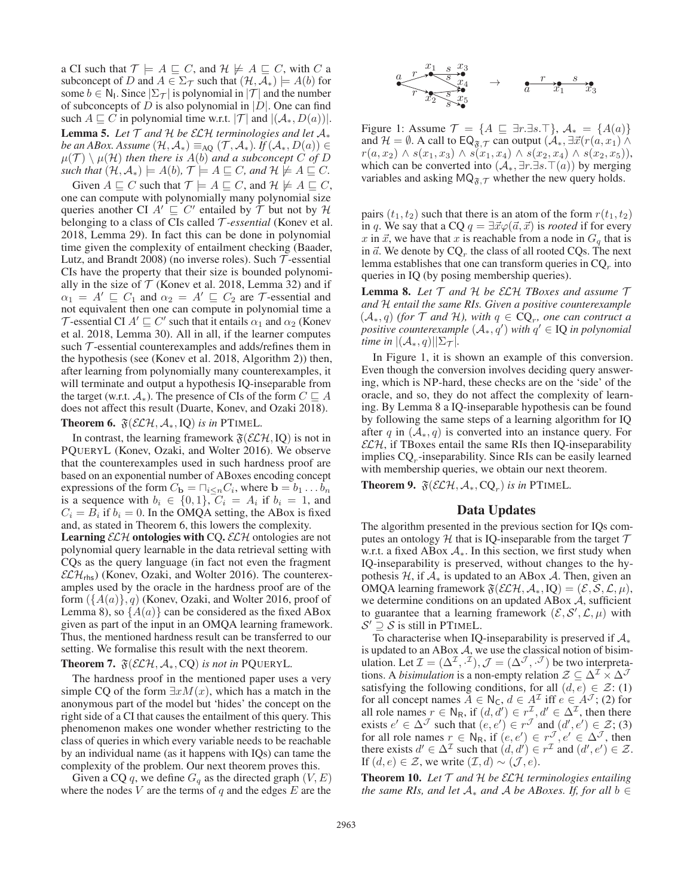a CI such that  $\mathcal{T} \models A \sqsubseteq C$ , and  $\mathcal{H} \not\models A \sqsubseteq C$ , with C a subconcept of D and  $A \in \Sigma_{\mathcal{T}}$  such that  $(\mathcal{H}, \mathcal{A}_*) \models A(b)$  for some  $b \in N_1$ . Since  $|\Sigma_{\mathcal{T}}|$  is polynomial in  $|\mathcal{T}|$  and the number of subconcepts of  $D$  is also polynomial in  $|D|$ . One can find such  $A \sqsubseteq C$  in polynomial time w.r.t.  $|\mathcal{T}|$  and  $|(\mathcal{A}_*, D(a))|$ . **Lemma 5.** Let  $T$  and  $H$  be  $ECH$  *terminologies and let*  $A_*$ *be an ABox. Assume*  $(\mathcal{H}, \mathcal{A}_*) \equiv_{AQ} (\mathcal{T}, \mathcal{A}_*)$ *. If*  $(\mathcal{A}_*, D(a)) \in$  $\mu(\mathcal{T}) \setminus \mu(\mathcal{H})$  *then there is*  $A(b)$  *and a subconcept* C *of* D *such that*  $(\mathcal{H}, \mathcal{A}_*) \models A(b), \mathcal{T} \models A \sqsubseteq C$ *, and*  $\mathcal{H} \not\models A \sqsubseteq C$ *.* 

Given  $A \sqsubseteq C$  such that  $\mathcal{T} \models A \sqsubseteq C$ , and  $\mathcal{H} \not\models A \sqsubseteq C$ , one can compute with polynomially many polynomial size queries another CI  $A' \sqsubseteq C'$  entailed by  $\mathcal T$  but not by  $\mathcal H$ belonging to a class of CIs called T *-essential* (Konev et al. 2018, Lemma 29). In fact this can be done in polynomial time given the complexity of entailment checking (Baader, Lutz, and Brandt 2008) (no inverse roles). Such  $\mathcal T$ -essential CIs have the property that their size is bounded polynomially in the size of  $T$  (Konev et al. 2018, Lemma 32) and if  $\alpha_1 = A' \sqsubseteq C_1$  and  $\alpha_2 = A' \sqsubseteq C_2$  are *T*-essential and not equivalent then one can compute in polynomial time a T-essential CI  $A' \sqsubseteq C'$  such that it entails  $\alpha_1$  and  $\alpha_2$  (Konev et al. 2018, Lemma 30). All in all, if the learner computes such  $\mathcal T$ -essential counterexamples and adds/refines them in the hypothesis (see (Konev et al. 2018, Algorithm 2)) then, after learning from polynomially many counterexamples, it will terminate and output a hypothesis IQ-inseparable from the target (w.r.t.  $\mathcal{A}_*$ ). The presence of CIs of the form  $C \sqsubseteq A$ does not affect this result (Duarte, Konev, and Ozaki 2018). **Theorem 6.**  $\mathfrak{F}(\mathcal{ELH}, \mathcal{A}_*, \text{IQ})$  *is in* PTIMEL.

In contrast, the learning framework  $\mathfrak{F}(\mathcal{ELH}, IO)$  is not in PQUERYL (Konev, Ozaki, and Wolter 2016). We observe that the counterexamples used in such hardness proof are based on an exponential number of ABoxes encoding concept expressions of the form  $C_{\mathbf{b}} = \Box_{i \leq n} C_i$ , where  $\mathbf{b} = b_1 \dots b_n$ is a sequence with  $b_i \in \{0, 1\}$ ,  $C_i = A_i$  if  $b_i = 1$ , and  $C_i = B_i$  if  $b_i = 0$ . In the OMQA setting, the ABox is fixed and, as stated in Theorem 6, this lowers the complexity.

**Learning**  $ELH$  **ontologies with CQ.**  $ELH$  ontologies are not polynomial query learnable in the data retrieval setting with CQs as the query language (in fact not even the fragment  $\mathcal{ELH}_{\text{rhs}}$ ) (Konev, Ozaki, and Wolter 2016). The counterexamples used by the oracle in the hardness proof are of the form  $({A(a)}, q)$  (Konev, Ozaki, and Wolter 2016, proof of Lemma 8), so  $\{A(a)\}\$ can be considered as the fixed ABox given as part of the input in an OMQA learning framework. Thus, the mentioned hardness result can be transferred to our setting. We formalise this result with the next theorem.

**Theorem 7.**  $\mathfrak{F}(\mathcal{ELH}, \mathcal{A}_*, CQ)$  *is not in* PQUERYL.

The hardness proof in the mentioned paper uses a very simple CQ of the form  $\exists x M(x)$ , which has a match in the anonymous part of the model but 'hides' the concept on the right side of a CI that causes the entailment of this query. This phenomenon makes one wonder whether restricting to the class of queries in which every variable needs to be reachable by an individual name (as it happens with IQs) can tame the complexity of the problem. Our next theorem proves this.

Given a CQ q, we define  $G<sub>q</sub>$  as the directed graph  $(V, E)$ where the nodes  $V$  are the terms of  $q$  and the edges  $E$  are the



Figure 1: Assume  $\mathcal{T} = \{A \sqsubseteq \exists r.\exists s.\top\}, \mathcal{A}_* = \{A(a)\}\$ and  $\mathcal{H} = \emptyset$ . A call to  $\mathsf{EQ}_{\mathfrak{F},\mathcal{T}}$  can output  $(\mathcal{A}_*, \exists \vec{x} (r(a,x_1))$  $r(a, x_2) \wedge s(x_1, x_3) \wedge s(x_1, x_4) \wedge s(x_2, x_4) \wedge s(x_2, x_5)$ ), which can be converted into  $(\mathcal{A}_*, \exists r. \exists s. \top(\alpha))$  by merging variables and asking  $MQ_{\tilde{\mathcal{K}}\mathcal{T}}$  whether the new query holds.

pairs  $(t_1, t_2)$  such that there is an atom of the form  $r(t_1, t_2)$ in q. We say that a CQ  $q = \exists \vec{x} \varphi(\vec{a}, \vec{x})$  is *rooted* if for every x in  $\vec{x}$ , we have that x is reachable from a node in  $G_q$  that is in  $\vec{a}$ . We denote by  $\text{CQ}_r$  the class of all rooted CQs. The next lemma establishes that one can transform queries in  $CQ_r$  into queries in IQ (by posing membership queries).

Lemma 8. *Let* T *and* H *be* ELH *TBoxes and assume* T *and* H *entail the same RIs. Given a positive counterexample*  $(\mathcal{A}_*, q)$  *(for*  $\mathcal T$  *and*  $\mathcal H$ *), with*  $q \in \mathbb{CQ}_r$ *, one can contruct a*  $positive$  *counterexample*  $(A_*, q')$  *with*  $q' \in$  **IQ** *in polynomial time in*  $|(\mathcal{A}_*, q)| \Sigma_T$ .

In Figure 1, it is shown an example of this conversion. Even though the conversion involves deciding query answering, which is NP-hard, these checks are on the 'side' of the oracle, and so, they do not affect the complexity of learning. By Lemma 8 a IQ-inseparable hypothesis can be found by following the same steps of a learning algorithm for IQ after q in  $(A_*, q)$  is converted into an instance query. For  $\mathcal{ELH}$ , if TBoxes entail the same RIs then IQ-inseparability implies  $CQ<sub>r</sub>$ -inseparability. Since RIs can be easily learned with membership queries, we obtain our next theorem.

**Theorem 9.**  $\mathfrak{F}(\mathcal{ELH}, \mathcal{A}_*, \text{CQ}_r)$  *is in* PTIMEL.

## Data Updates

The algorithm presented in the previous section for IQs computes an ontology  $H$  that is IQ-inseparable from the target  $T$ w.r.t. a fixed ABox  $A_{*}$ . In this section, we first study when IQ-inseparability is preserved, without changes to the hypothesis  $H$ , if  $A_*$  is updated to an ABox  $A$ . Then, given an OMQA learning framework  $\mathfrak{F}(\mathcal{ELH}, \mathcal{A}_*, \text{IQ})=(\mathcal{E}, \mathcal{S}, \mathcal{L}, \mu),$ we determine conditions on an updated ABox  $A$ , sufficient to guarantee that a learning framework  $(\mathcal{E}, \mathcal{S}', \mathcal{L}, \mu)$  with  $\mathcal{S}' \supseteq \mathcal{S}$  is still in PTIMEL.

To characterise when IQ-inseparability is preserved if  $A_*$ is updated to an ABox  $A$ , we use the classical notion of bisimulation. Let  $\mathcal{I} = (\Delta^{\mathcal{I}}, \cdot^{\mathcal{I}}), \mathcal{J} = (\Delta^{\mathcal{J}}, \cdot^{\mathcal{J}})$  be two interpretations. A *bisimulation* is a non-empty relation  $\mathcal{Z} \subseteq \Delta^{\mathcal{I}} \times \Delta^{\mathcal{J}}$ satisfying the following conditions, for all  $(d, e) \in \mathcal{Z}$ : (1) for all concept names  $A \in N_c$ ,  $d \in A^{\mathcal{I}}$  iff  $e \in A^{\mathcal{I}}$ ; (2) for all role names  $r \in N_R$ , if  $(d, d') \in r^{\mathcal{I}}$ ,  $d' \in \Delta^{\mathcal{I}}$ , then there exists  $e' \in \Delta^{\mathcal{J}}$  such that  $(e, e') \in r^{\mathcal{J}}$  and  $(d', e') \in \mathcal{Z}$ ; (3) for all role names  $r \in N_R$ , if  $(e, e') \in r^{\mathcal{J}}, e' \in \Delta^{\mathcal{J}}$ , then there exists  $d' \in \Delta^{\mathcal{I}}$  such that  $(d, d') \in r^{\mathcal{I}}$  and  $(d', e') \in \mathcal{Z}$ . If  $(d, e) \in \mathcal{Z}$ , we write  $(\mathcal{I}, d) \sim (\mathcal{J}, e)$ .

Theorem 10. *Let* T *and* H *be* ELH *terminologies entailing the same RIs, and let*  $A_*$  *and*  $A$  *be ABoxes. If, for all*  $b \in$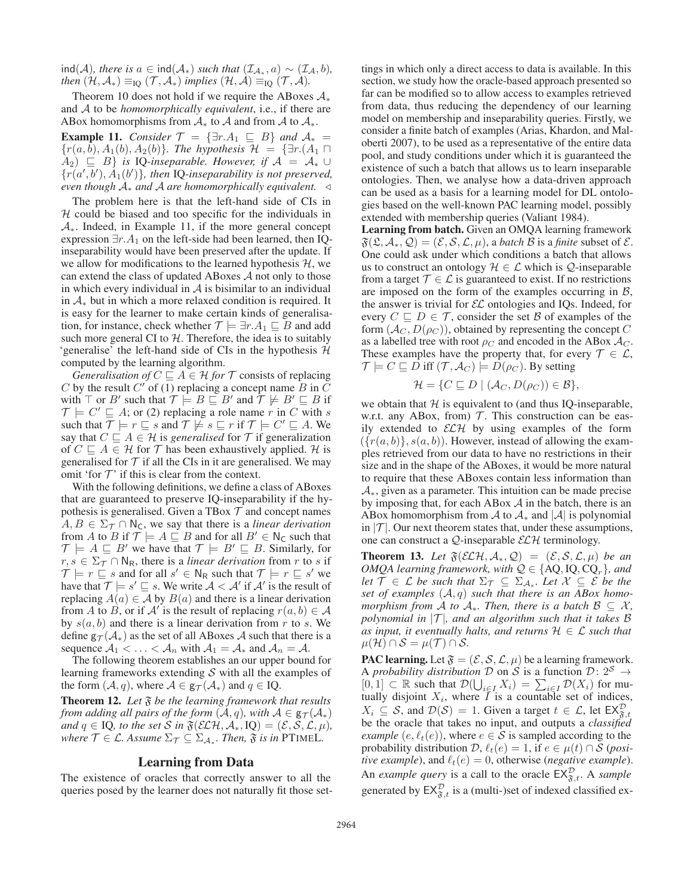ind(*A*)*, there is*  $a \in \text{ind}(\mathcal{A}_*)$  *such that*  $(\mathcal{I}_{\mathcal{A}_*}, a) \sim (\mathcal{I}_{\mathcal{A}}, b)$ *, then*  $(\mathcal{H}, \mathcal{A}_*) \equiv_{\text{IO}} (\mathcal{T}, \mathcal{A}_*)$  *implies*  $(\mathcal{H}, \mathcal{A}) \equiv_{\text{IO}} (\mathcal{T}, \mathcal{A})$ *.* 

Theorem 10 does not hold if we require the ABoxes  $A_*$ and A to be *homomorphically equivalent*, i.e., if there are ABox homomorphisms from  $A_*$  to A and from A to  $A_*$ .

**Example 11.** *Consider*  $\mathcal{T} = {\exists r.A_1 \subseteq B}$  *and*  $A_* =$  ${r(a, b), A_1(b), A_2(b)}$ *. The hypothesis*  $\mathcal{H} = {\exists r.(A_1 \sqcap A_2(b))}$  $A_2$ )  $\subseteq$  *B*} *is* IQ-*inseparable. However, if*  $A = A_* \cup$  ${r(a',b'), A_1(b')}$ , then IQ-inseparability is not preserved, *even though* <sup>A</sup><sup>∗</sup> *and* <sup>A</sup> *are homomorphically equivalent.*

The problem here is that the left-hand side of CIs in  $H$  could be biased and too specific for the individuals in A∗. Indeed, in Example 11, if the more general concept expression  $\exists r.A_1$  on the left-side had been learned, then IQinseparability would have been preserved after the update. If we allow for modifications to the learned hypothesis  $H$ , we can extend the class of updated ABoxes A not only to those in which every individual in  $A$  is bisimilar to an individual in  $A_*$  but in which a more relaxed condition is required. It is easy for the learner to make certain kinds of generalisation, for instance, check whether  $\mathcal{T} \models \exists r.A_1 \sqsubseteq B$  and add such more general CI to  $H$ . Therefore, the idea is to suitably 'generalise' the left-hand side of CIs in the hypothesis  $H$ computed by the learning algorithm.

*Generalisation of*  $C \sqsubseteq A \in \mathcal{H}$  *for*  $\mathcal{T}$  consists of replacing C by the result C' of  $\overline{(1)}$  replacing a concept name B in C with  $\top$  or  $B'$  such that  $\mathcal{T} \models B \sqsubseteq B'$  and  $\mathcal{T} \not\models B' \sqsubseteq B$  if  $\mathcal{T} \models C' \sqsubseteq A$ ; or (2) replacing a role name r in C with s such that  $\overline{\mathcal{T}} \models r \sqsubseteq s$  and  $\mathcal{T} \not\models s \sqsubseteq r$  if  $\mathcal{T} \models C' \sqsubseteq A$ . We say that  $C \sqsubseteq A \in \mathcal{H}$  is *generalised* for  $\mathcal{T}$  if generalization of  $C \subseteq A \in \mathcal{H}$  for  $\mathcal{T}$  has been exhaustively applied. H is generalised for  $T$  if all the CIs in it are generalised. We may omit 'for  $T$ ' if this is clear from the context.

With the following definitions, we define a class of ABoxes that are guaranteed to preserve IQ-inseparability if the hypothesis is generalised. Given a TBox  $\mathcal T$  and concept names  $A, B \in \Sigma_{\mathcal{T}} \cap \mathbb{N}_{\mathsf{C}}$ , we say that there is a *linear derivation* from A to B if  $\mathcal{T} \models A \subseteq B$  and for all  $B' \in \mathbb{N}_C$  such that  $\mathcal{T} \models A \sqsubseteq B'$  we have that  $\mathcal{T} \models B' \sqsubseteq B$ . Similarly, for  $r, s \in \Sigma_{\mathcal{T}} \cap \mathbb{N}_{\mathbb{R}}$ , there is a *linear derivation* from r to s if  $\mathcal{T} \models r \sqsubseteq s$  and for all  $s' \in \mathsf{N}_{\mathsf{R}}$  such that  $\mathcal{T} \models r \sqsubseteq s'$  we have that  $\overline{\mathcal{T}} \models s' \sqsubseteq s$ . We write  $\mathcal{A} < \mathcal{A}'$  if  $\mathcal{A}'$  is the result of replacing  $A(a) \in A$  by  $B(a)$  and there is a linear derivation from A to B, or if A' is the result of replacing  $r(a, b) \in A$ by  $s(a, b)$  and there is a linear derivation from r to s. We define  $g_{\mathcal{T}}(\mathcal{A}_{*})$  as the set of all ABoxes A such that there is a sequence  $A_1 < \ldots < A_n$  with  $A_1 = A_*$  and  $A_n = A$ .

The following theorem establishes an our upper bound for learning frameworks extending  $S$  with all the examples of the form  $(A, q)$ , where  $A \in \mathsf{g}_{\mathcal{T}}(\mathcal{A}_*)$  and  $q \in \mathrm{IQ}$ .

**Theorem 12.** Let  $\mathfrak{F}$  be the learning framework that results *from adding all pairs of the form*  $(A, q)$ *, with*  $A \in g_{\mathcal{T}}(A_*)$ *and*  $q \in$  IQ*, to the set* S *in*  $\mathfrak{F}(\mathcal{ELH}, \mathcal{A}_*, \text{IQ}) = (\mathcal{E}, \mathcal{S}, \mathcal{L}, \mu)$ *, where*  $\mathcal{T} \in \mathcal{L}$ *. Assume*  $\Sigma_{\mathcal{T}} \subseteq \Sigma_{\mathcal{A}_*}$ *. Then,*  $\mathfrak{F}$  *is in* PTIMEL*.* 

#### Learning from Data

The existence of oracles that correctly answer to all the queries posed by the learner does not naturally fit those set-

tings in which only a direct access to data is available. In this section, we study how the oracle-based approach presented so far can be modified so to allow access to examples retrieved from data, thus reducing the dependency of our learning model on membership and inseparability queries. Firstly, we consider a finite batch of examples (Arias, Khardon, and Maloberti 2007), to be used as a representative of the entire data pool, and study conditions under which it is guaranteed the existence of such a batch that allows us to learn inseparable ontologies. Then, we analyse how a data-driven approach can be used as a basis for a learning model for DL ontologies based on the well-known PAC learning model, possibly extended with membership queries (Valiant 1984).

Learning from batch. Given an OMQA learning framework  $\mathfrak{F}(\mathfrak{L}, \mathcal{A}_*, \mathcal{Q})=(\mathcal{E}, \mathcal{S}, \mathcal{L}, \mu)$ , a *batch*  $\mathcal{B}$  is a *finite* subset of  $\mathcal{E}.$ One could ask under which conditions a batch that allows us to construct an ontology  $\mathcal{H} \in \mathcal{L}$  which is  $\mathcal{Q}$ -inseparable from a target  $\mathcal{T} \in \mathcal{L}$  is guaranteed to exist. If no restrictions are imposed on the form of the examples occurring in  $B$ , the answer is trivial for  $\mathcal{EL}$  ontologies and IQs. Indeed, for every  $C \sqsubseteq D \in \mathcal{T}$ , consider the set  $\mathcal{B}$  of examples of the form  $(\mathcal{A}_{C}, D(\rho_{C}))$ , obtained by representing the concept C as a labelled tree with root  $\rho_C$  and encoded in the ABox  $\mathcal{A}_C$ . These examples have the property that, for every  $\mathcal{T} \in \mathcal{L}$ ,  $\mathcal{T} \models C \sqsubseteq D$  iff  $(\mathcal{T}, \mathcal{A}_{C}) \models D(\rho_{C})$ . By setting

$$
\mathcal{H} = \{ C \sqsubseteq D \mid (\mathcal{A}_C, D(\rho_C)) \in \mathcal{B} \},\
$$

we obtain that  $H$  is equivalent to (and thus IQ-inseparable, w.r.t. any ABox, from)  $T$ . This construction can be easily extended to  $\mathcal{ELH}$  by using examples of the form  $({r(a, b)}, {s(a, b)}).$  However, instead of allowing the examples retrieved from our data to have no restrictions in their size and in the shape of the ABoxes, it would be more natural to require that these ABoxes contain less information than A∗, given as a parameter. This intuition can be made precise by imposing that, for each ABox  $A$  in the batch, there is an ABox homomorphism from  $\mathcal A$  to  $\mathcal A_*$  and  $|\mathcal A|$  is polynomial in  $|\mathcal{T}|$ . Our next theorem states that, under these assumptions, one can construct a  $Q$ -inseparable  $\mathcal{ELH}$  terminology.

**Theorem 13.** Let  $\mathfrak{F}(\mathcal{ELH}, \mathcal{A}_*, \mathcal{Q}) = (\mathcal{E}, \mathcal{S}, \mathcal{L}, \mu)$  be an *OMQA learning framework, with*  $Q \in \{AQ, IQ, CQ_r\}$ *, and let*  $\mathcal{T} \in \mathcal{L}$  *be such that*  $\Sigma_{\mathcal{T}} \subseteq \Sigma_{\mathcal{A}_{*}}$ *. Let*  $\mathcal{X} \subseteq \mathcal{E}$  *be the set of examples* (A, q) *such that there is an ABox homomorphism from* A *to*  $A_*$ *. Then, there is a batch*  $B \subseteq X$ *, polynomial in*  $|T|$ *, and an algorithm such that it takes*  $\beta$ *as input, it eventually halts, and returns*  $H \in \mathcal{L}$  *such that*  $\mu(\mathcal{H}) \cap \mathcal{S} = \mu(\mathcal{T}) \cap \mathcal{S}.$ 

**PAC learning.** Let  $\mathfrak{F} = (\mathcal{E}, \mathcal{S}, \mathcal{L}, \mu)$  be a learning framework. A *probability distribution* D on S is a function  $\mathcal{D}: 2^S \rightarrow$  $[0, 1] \subset \mathbb{R}$  such that  $\mathcal{D}(\bigcup_{i \in I} X_i) = \sum_{i \in I} \mathcal{D}(X_i)$  for mutually disjoint  $X_i$ , where  $I$  is a countable set of indices,  $X_i \subseteq S$ , and  $\mathcal{D}(S) = 1$ . Given a target  $t \in \mathcal{L}$ , let  $EX_{\mathfrak{F},t}^{\mathcal{D}}$ be the oracle that takes no input, and outputs a *classified example*  $(e, \ell_t(e))$ , where  $e \in \overline{S}$  is sampled according to the probability distribution  $\mathcal{D}, \ell_t(e) = 1$ , if  $e \in \mu(t) \cap \mathcal{S}$  (*positive example*), and  $\ell_t(e)=0$ , otherwise (*negative example*). An *example query* is a call to the oracle  $EX_{\mathfrak{F},t}^{\mathcal{D}}$ . A *sample* generated by  $EX_{\mathfrak{F},t}^{\mathcal{D}}$  is a (multi-)set of indexed classified ex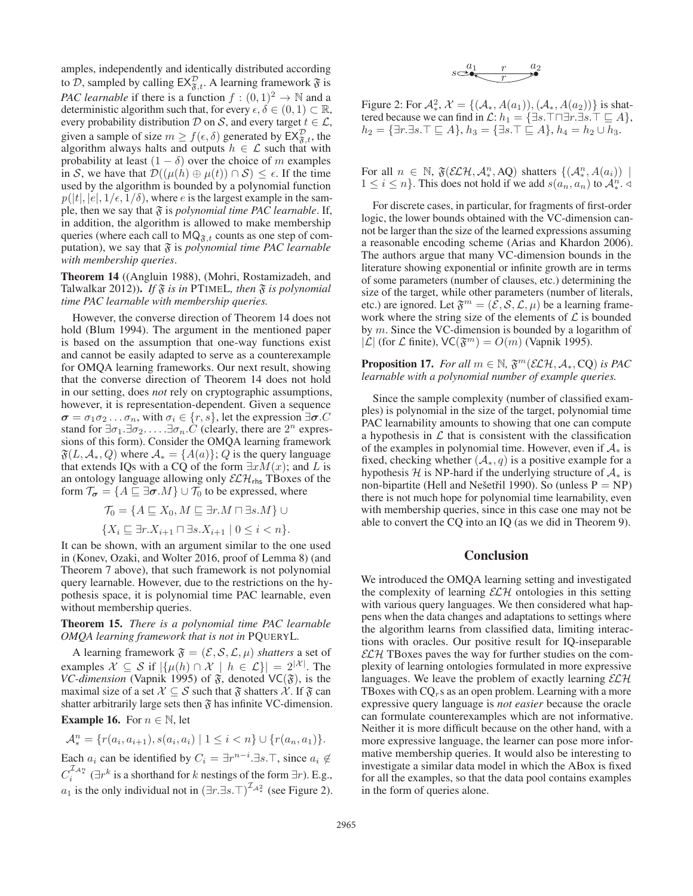amples, independently and identically distributed according to D, sampled by calling  $EX_{\mathfrak{F},t}^{\mathcal{D}}$ . A learning framework  $\mathfrak{F}$  is *PAC learnable* if there is a function  $f : (0,1)^2 \rightarrow \mathbb{N}$  and a deterministic algorithm such that, for every  $\epsilon, \delta \in (0, 1) \subset \mathbb{R}$ , every probability distribution  $D$  on  $S$ , and every target  $t \in \mathcal{L}$ , given a sample of size  $m \ge f(\epsilon, \delta)$  generated by  $\mathsf{EX}^{\mathcal{D}}_{\mathfrak{F},t}$ , the algorithm always halts and outputs  $h \in \mathcal{L}$  such that with probability at least  $(1 - \delta)$  over the choice of m examples in S, we have that  $\mathcal{D}((\mu(h) \oplus \mu(t)) \cap S) \leq \epsilon$ . If the time used by the algorithm is bounded by a polynomial function  $p(|t|, |e|, 1/\epsilon, 1/\delta)$ , where e is the largest example in the sample, then we say that  $\mathfrak F$  is *polynomial time PAC learnable*. If, in addition, the algorithm is allowed to make membership queries (where each call to  $MQ_{\mathfrak{F},t}$  counts as one step of computation), we say that  $\mathfrak F$  is *polynomial time PAC learnable with membership queries*.

Theorem 14 ((Angluin 1988), (Mohri, Rostamizadeh, and Talwalkar 2012)). *If* F *is in* PTIMEL*, then* F *is polynomial time PAC learnable with membership queries.*

However, the converse direction of Theorem 14 does not hold (Blum 1994). The argument in the mentioned paper is based on the assumption that one-way functions exist and cannot be easily adapted to serve as a counterexample for OMQA learning frameworks. Our next result, showing that the converse direction of Theorem 14 does not hold in our setting, does *not* rely on cryptographic assumptions, however, it is representation-dependent. Given a sequence  $\sigma = \sigma_1 \sigma_2 \dots \sigma_n$ , with  $\sigma_i \in \{r, s\}$ , let the expression  $\exists \sigma$ . stand for  $\exists \sigma_1 \cdot \exists \sigma_2 \ldots \cdot \exists \sigma_n \cdot C$  (clearly, there are  $2^n$  expressions of this form). Consider the OMQA learning framework  $\mathfrak{F}(L, \mathcal{A}_*, Q)$  where  $\mathcal{A}_* = \{A(a)\}; Q$  is the query language that extends IQs with a CQ of the form  $\exists x \overline{M}(x)$ ; and  $\overline{L}$  is an ontology language allowing only  $\mathcal{ELH}_{\mathsf{rhs}}$  TBoxes of the form  $\mathcal{T}_{\sigma} = \{A \sqsubseteq \exists \sigma.M\} \cup \mathcal{T}_0$  to be expressed, where

$$
\mathcal{T}_0 = \{ A \sqsubseteq X_0, M \sqsubseteq \exists r.M \sqcap \exists s.M \} \cup \{ X_i \sqsubseteq \exists r.X_{i+1} \sqcap \exists s.X_{i+1} \mid 0 \le i < n \}.
$$

It can be shown, with an argument similar to the one used in (Konev, Ozaki, and Wolter 2016, proof of Lemma 8) (and Theorem 7 above), that such framework is not polynomial query learnable. However, due to the restrictions on the hypothesis space, it is polynomial time PAC learnable, even without membership queries.

Theorem 15. *There is a polynomial time PAC learnable OMQA learning framework that is not in* PQUERYL*.*

A learning framework  $\mathfrak{F} = (\mathcal{E}, \mathcal{S}, \mathcal{L}, \mu)$  *shatters* a set of examples  $\mathcal{X} \subseteq \mathcal{S}$  if  $|\{\mu(h) \cap \mathcal{X} \mid h \in \mathcal{L}\}| = 2^{|\mathcal{X}|}$ . The *VC-dimension* (Vapnik 1995) of  $\tilde{s}$ , denoted VC( $\tilde{s}$ ), is the maximal size of a set  $X \subseteq S$  such that  $\mathfrak F$  shatters  $\mathcal X$ . If  $\mathfrak F$  can shatter arbitrarily large sets then  $\mathfrak F$  has infinite VC-dimension.

**Example 16.** For  $n \in \mathbb{N}$ , let

 $\mathcal{A}_*^n = \{r(a_i, a_{i+1}), s(a_i, a_i) \mid 1 \leq i < n\} \cup \{r(a_n, a_1)\}.$ 

Each  $a_i$  can be identified by  $C_i = \exists r^{n-i} \cdot \exists s \cdot \top$ , since  $a_i \notin \mathcal{L}$  $C_i^{\mathcal{L}_{A_*^n}}$  ( $\exists r^k$  is a shorthand for k nestings of the form  $\exists r$ ). E.g.,  $a_1$  is the only individual not in  $(\exists r.\exists s.\top)^{\mathcal{I}_{\mathcal{A}^2_*}}$  (see Figure 2).

$$
s \stackrel{a_1}{\longrightarrow} \stackrel{r}{\longrightarrow} \stackrel{a_2}{\longrightarrow}
$$

Figure 2: For  $\mathcal{A}^2_*$ ,  $\mathcal{X} = \{(\mathcal{A}_*, A(a_1)), (\mathcal{A}_*, A(a_2))\}$  is shattered because we can find in  $\mathcal{L}: h_1 = \{\exists s.\top \sqcap \exists r.\exists s.\top \sqsubseteq A\},\$  $h_2 = \{\exists r.\exists s.\top \sqsubseteq A\}, h_3 = \{\exists s.\top \sqsubseteq A\}, h_4 = h_2 \cup \overline{h}_3.$ 

For all  $n \in \mathbb{N}$ ,  $\mathfrak{F}(\mathcal{ELH}, \mathcal{A}_*, AQ)$  shatters  $\{(\mathcal{A}_*, A(a_i)) \mid$  $1 \leq i \leq n$ . This does not hold if we add  $s(a_n, a_n)$  to  $\mathcal{A}_*^{n}$ .

For discrete cases, in particular, for fragments of first-order logic, the lower bounds obtained with the VC-dimension cannot be larger than the size of the learned expressions assuming a reasonable encoding scheme (Arias and Khardon 2006). The authors argue that many VC-dimension bounds in the literature showing exponential or infinite growth are in terms of some parameters (number of clauses, etc.) determining the size of the target, while other parameters (number of literals, etc.) are ignored. Let  $\mathfrak{F}^m = (\mathcal{E}, \mathcal{S}, \mathcal{L}, \mu)$  be a learning framework where the string size of the elements of  $\mathcal L$  is bounded by m. Since the VC-dimension is bounded by a logarithm of  $|\mathcal{L}|$  (for  $\mathcal L$  finite),  $\mathsf{VC}(\mathfrak{F}^m) = O(m)$  (Vapnik 1995).

**Proposition 17.** *For all*  $m \in \mathbb{N}$ ,  $\mathfrak{F}^m(\mathcal{ELH}, \mathcal{A}_*, \text{CO})$  *is PAC learnable with a polynomial number of example queries.*

Since the sample complexity (number of classified examples) is polynomial in the size of the target, polynomial time PAC learnability amounts to showing that one can compute a hypothesis in  $\mathcal L$  that is consistent with the classification of the examples in polynomial time. However, even if  $A_*$  is fixed, checking whether  $(A_*, q)$  is a positive example for a hypothesis  $H$  is NP-hard if the underlying structure of  $A_*$  is non-bipartite (Hell and Nešetřil 1990). So (unless  $P = NP$ ) there is not much hope for polynomial time learnability, even with membership queries, since in this case one may not be able to convert the CQ into an IQ (as we did in Theorem 9).

## **Conclusion**

We introduced the OMQA learning setting and investigated the complexity of learning  $\mathcal{ELH}$  ontologies in this setting with various query languages. We then considered what happens when the data changes and adaptations to settings where the algorithm learns from classified data, limiting interactions with oracles. Our positive result for IQ-inseparable  $\mathcal{ELH}$  TBoxes paves the way for further studies on the complexity of learning ontologies formulated in more expressive languages. We leave the problem of exactly learning  $\mathcal{ELH}$ TBoxes with  $CQ_r$ s as an open problem. Learning with a more expressive query language is *not easier* because the oracle can formulate counterexamples which are not informative. Neither it is more difficult because on the other hand, with a more expressive language, the learner can pose more informative membership queries. It would also be interesting to investigate a similar data model in which the ABox is fixed for all the examples, so that the data pool contains examples in the form of queries alone.